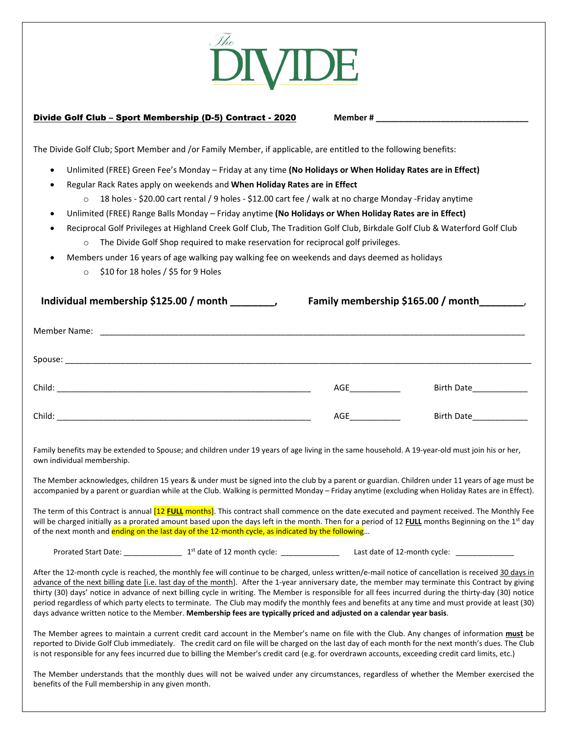

## **Divide Golf Club – Sport Membership (D-5) Contract - 2020** Member #

The Divide Golf Club; Sport Member and /or Family Member, if applicable, are entitled to the following benefits:

- Unlimited (FREE) Green Fee's Monday Friday at any time **(No Holidays or When Holiday Rates are in Effect)**
- Regular Rack Rates apply on weekends and **When Holiday Rates are in Effect**
	- o 18 holes ‐ \$20.00 cart rental / 9 holes ‐ \$12.00 cart fee / walk at no charge Monday ‐Friday anytime
- Unlimited (FREE) Range Balls Monday Friday anytime **(No Holidays or When Holiday Rates are in Effect)**
- Reciprocal Golf Privileges at Highland Creek Golf Club, The Tradition Golf Club, Birkdale Golf Club & Waterford Golf Club  $\circ$  The Divide Golf Shop required to make reservation for reciprocal golf privileges.
	- Members under 16 years of age walking pay walking fee on weekends and days deemed as holidays
		- $\circ$  \$10 for 18 holes / \$5 for 9 Holes

| Individual membership \$125.00 / month | Family membership \$165.00 / month_________,                                                                                                                                                                                        |                        |  |  |
|----------------------------------------|-------------------------------------------------------------------------------------------------------------------------------------------------------------------------------------------------------------------------------------|------------------------|--|--|
|                                        |                                                                                                                                                                                                                                     |                        |  |  |
|                                        |                                                                                                                                                                                                                                     |                        |  |  |
|                                        | AGE <b>A</b> contract the set of the set of the set of the set of the set of the set of the set of the set of the set of the set of the set of the set of the set of the set of the set of the set of the set of the set of the set | Birth Date             |  |  |
|                                        | AGE                                                                                                                                                                                                                                 | Birth Date____________ |  |  |

Family benefits may be extended to Spouse; and children under 19 years of age living in the same household. A 19-year-old must join his or her, own individual membership.

The Member acknowledges, children 15 years & under must be signed into the club by a parent or guardian. Children under 11 years of age must be accompanied by a parent or guardian while at the Club. Walking is permitted Monday – Friday anytime (excluding when Holiday Rates are in Effect).

The term of this Contract is annual [12 **FULL** months]. This contract shall commence on the date executed and payment received. The Monthly Fee will be charged initially as a prorated amount based upon the days left in the month. Then for a period of 12 **FULL** months Beginning on the 1<sup>st</sup> day of the next month and ending on the last day of the 12-month cycle, as indicated by the following...

Prorated Start Date: \_\_\_\_\_\_\_\_\_\_\_\_\_\_ 1st date of 12 month cycle: \_\_\_\_\_\_\_\_\_\_\_\_\_\_ Last date of 12‐month cycle: \_\_\_\_\_\_\_\_\_\_\_\_\_\_

After the 12-month cycle is reached, the monthly fee will continue to be charged, unless written/e-mail notice of cancellation is received 30 days in advance of the next billing date [i.e. last day of the month]. After the 1-year anniversary date, the member may terminate this Contract by giving thirty (30) days' notice in advance of next billing cycle in writing. The Member is responsible for all fees incurred during the thirty‐day (30) notice period regardless of which party elects to terminate. The Club may modify the monthly fees and benefits at any time and must provide at least (30) days advance written notice to the Member. **Membership fees are typically priced and adjusted on a calendar year basis**.

The Member agrees to maintain a current credit card account in the Member's name on file with the Club. Any changes of information **must** be reported to Divide Golf Club immediately. The credit card on file will be charged on the last day of each month for the next month's dues. The Club is not responsible for any fees incurred due to billing the Member's credit card (e.g. for overdrawn accounts, exceeding credit card limits, etc.)

The Member understands that the monthly dues will not be waived under any circumstances, regardless of whether the Member exercised the benefits of the Full membership in any given month.